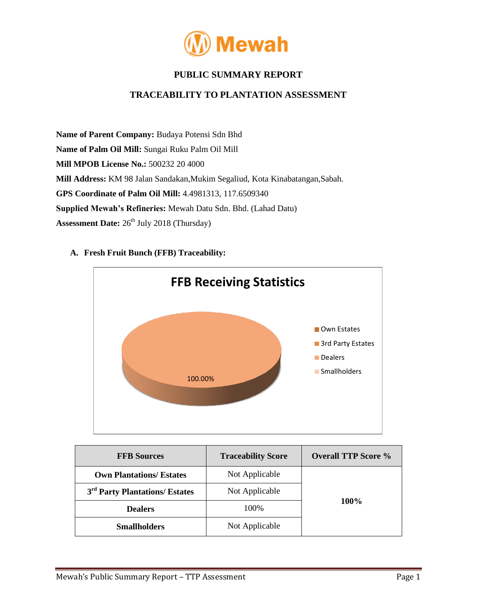

# **PUBLIC SUMMARY REPORT**

## **TRACEABILITY TO PLANTATION ASSESSMENT**

**Name of Parent Company:** Budaya Potensi Sdn Bhd **Name of Palm Oil Mill:** Sungai Ruku Palm Oil Mill **Mill MPOB License No.:** 500232 20 4000 **Mill Address:** KM 98 Jalan Sandakan,Mukim Segaliud, Kota Kinabatangan,Sabah. **GPS Coordinate of Palm Oil Mill:** 4.4981313, 117.6509340 **Supplied Mewah's Refineries:** Mewah Datu Sdn. Bhd. (Lahad Datu) **Assessment Date:**  $26^{th}$  July 2018 (Thursday)

### **A. Fresh Fruit Bunch (FFB) Traceability:**



| <b>FFB Sources</b>                         | <b>Traceability Score</b> | <b>Overall TTP Score %</b> |  |
|--------------------------------------------|---------------------------|----------------------------|--|
| <b>Own Plantations/ Estates</b>            | Not Applicable            |                            |  |
| 3 <sup>rd</sup> Party Plantations/ Estates | Not Applicable            | 100%                       |  |
| <b>Dealers</b>                             | 100\%                     |                            |  |
| <b>Smallholders</b>                        | Not Applicable            |                            |  |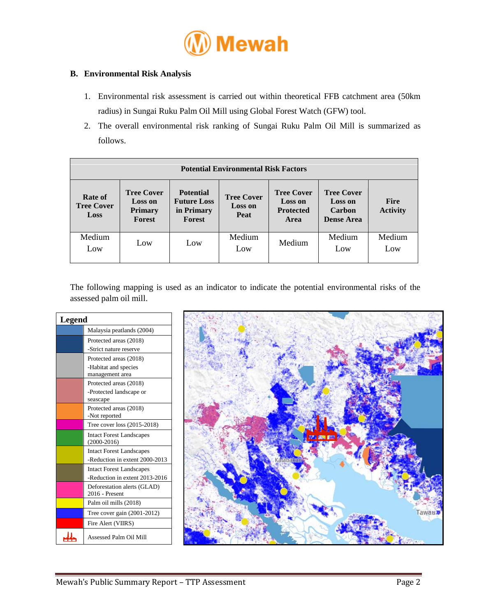

### **B. Environmental Risk Analysis**

- 1. Environmental risk assessment is carried out within theoretical FFB catchment area (50km radius) in Sungai Ruku Palm Oil Mill using Global Forest Watch (GFW) tool.
- 2. The overall environmental risk ranking of Sungai Ruku Palm Oil Mill is summarized as follows.

| <b>Potential Environmental Risk Factors</b>        |                                                                 |                                                                |                                                    |                                                                 |                                                                           |                                |
|----------------------------------------------------|-----------------------------------------------------------------|----------------------------------------------------------------|----------------------------------------------------|-----------------------------------------------------------------|---------------------------------------------------------------------------|--------------------------------|
| <b>Rate of</b><br><b>Tree Cover</b><br><b>Loss</b> | <b>Tree Cover</b><br><b>Loss on</b><br><b>Primary</b><br>Forest | <b>Potential</b><br><b>Future Loss</b><br>in Primary<br>Forest | <b>Tree Cover</b><br><b>Loss on</b><br><b>Peat</b> | <b>Tree Cover</b><br><b>Loss on</b><br><b>Protected</b><br>Area | <b>Tree Cover</b><br><b>Loss on</b><br><b>Carbon</b><br><b>Dense Area</b> | <b>Fire</b><br><b>Activity</b> |
| Medium<br>Low                                      | Low                                                             | Low                                                            | Medium<br>Low                                      | Medium                                                          | Medium<br>Low                                                             | Medium<br>Low                  |

The following mapping is used as an indicator to indicate the potential environmental risks of the assessed palm oil mill.

| Legend |                                                  |  |
|--------|--------------------------------------------------|--|
|        | Malaysia peatlands (2004)                        |  |
|        | Protected areas (2018)                           |  |
|        | -Strict nature reserve                           |  |
|        | Protected areas (2018)                           |  |
|        | -Habitat and species<br>management area          |  |
|        | Protected areas (2018)                           |  |
|        | -Protected landscape or<br>seascape              |  |
|        | Protected areas (2018)<br>-Not reported          |  |
|        | Tree cover loss (2015-2018)                      |  |
|        | <b>Intact Forest Landscapes</b><br>$(2000-2016)$ |  |
|        | <b>Intact Forest Landscapes</b>                  |  |
|        | -Reduction in extent 2000-2013                   |  |
|        | <b>Intact Forest Landscapes</b>                  |  |
|        | -Reduction in extent 2013-2016                   |  |
|        | Deforestation alerts (GLAD)<br>2016 - Present    |  |
|        | Palm oil mills (2018)                            |  |
|        | Tree cover gain $(2001-2012)$                    |  |
|        | Fire Alert (VIIRS)                               |  |
|        | Assessed Palm Oil Mill                           |  |